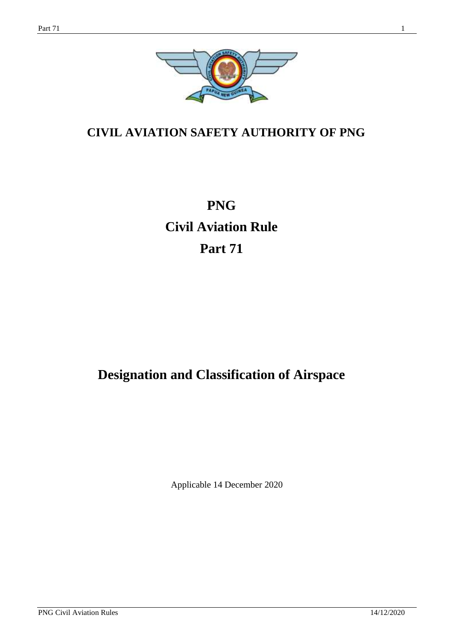

## **CIVIL AVIATION SAFETY AUTHORITY OF PNG**

# **PNG Civil Aviation Rule Part 71**

## **Designation and Classification of Airspace**

Applicable 14 December 2020

PNG Civil Aviation Rules 14/12/2020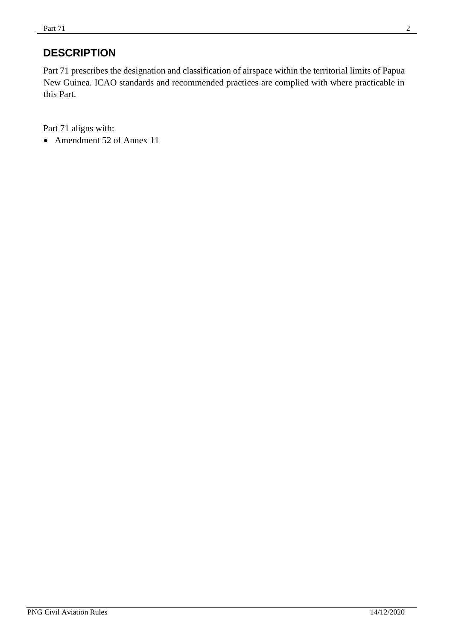## **DESCRIPTION**

Part 71 prescribes the designation and classification of airspace within the territorial limits of Papua New Guinea. ICAO standards and recommended practices are complied with where practicable in this Part.

Part 71 aligns with:

• Amendment 52 of Annex 11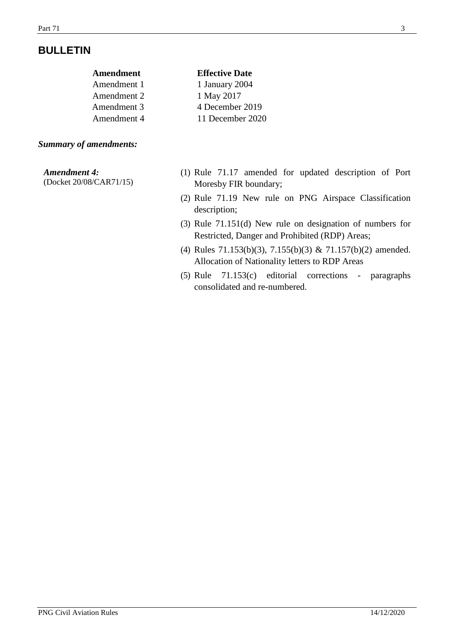## **BULLETIN**

| Amendment   | <b>Effective Date</b> |
|-------------|-----------------------|
| Amendment 1 | 1 January 2004        |
| Amendment 2 | 1 May 2017            |
| Amendment 3 | 4 December 2019       |
| Amendment 4 | 11 December 2020      |
|             |                       |

#### *Summary of amendments:*

#### *Amendment 4:*

(Docket 20/08/CAR71/15)

- (1) Rule 71.17 amended for updated description of Port Moresby FIR boundary;
- (2) Rule 71.19 New rule on PNG Airspace Classification description;
- (3) Rule 71.151(d) New rule on designation of numbers for Restricted, Danger and Prohibited (RDP) Areas;
- (4) Rules 71.153(b)(3), 7.155(b)(3) & 71.157(b)(2) amended. Allocation of Nationality letters to RDP Areas
- (5) Rule 71.153(c) editorial corrections paragraphs consolidated and re-numbered.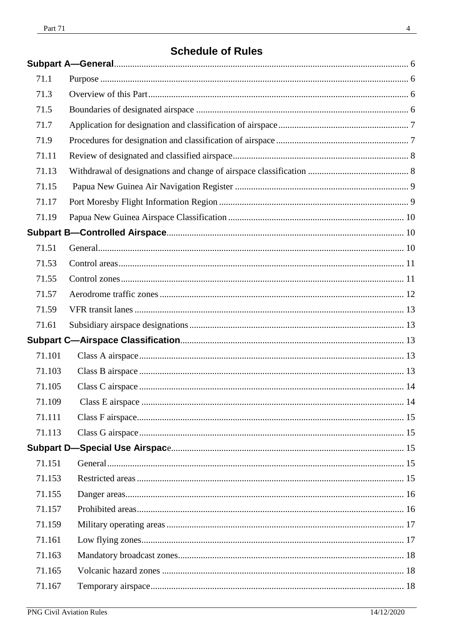## **Schedule of Rules**

| 71.1   |  |
|--------|--|
| 71.3   |  |
| 71.5   |  |
| 71.7   |  |
| 71.9   |  |
| 71.11  |  |
| 71.13  |  |
| 71.15  |  |
| 71.17  |  |
| 71.19  |  |
|        |  |
| 71.51  |  |
| 71.53  |  |
| 71.55  |  |
| 71.57  |  |
| 71.59  |  |
| 71.61  |  |
|        |  |
| 71.101 |  |
| 71.103 |  |
| 71.105 |  |
| 71.109 |  |
| 71.111 |  |
| 71.113 |  |
|        |  |
| 71.151 |  |
| 71.153 |  |
| 71.155 |  |
| 71.157 |  |
| 71.159 |  |
| 71.161 |  |
| 71.163 |  |
| 71.165 |  |
| 71.167 |  |
|        |  |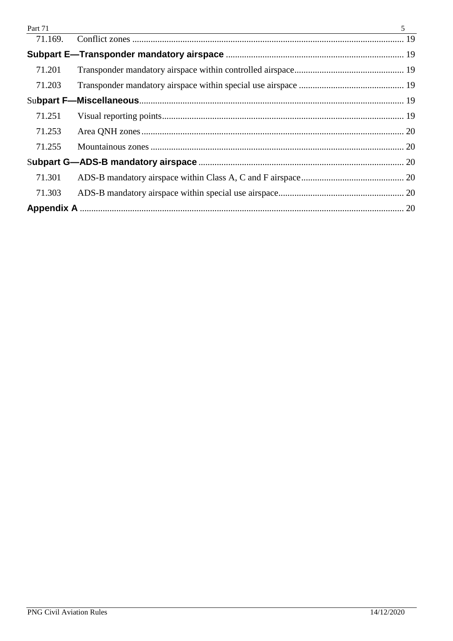<span id="page-4-0"></span>

| Part 71 | $\mathfrak{H}$ |
|---------|----------------|
|         |                |
|         |                |
| 71.201  |                |
| 71.203  |                |
|         |                |
| 71.251  |                |
| 71.253  |                |
| 71.255  |                |
|         |                |
| 71.301  |                |
| 71.303  |                |
|         |                |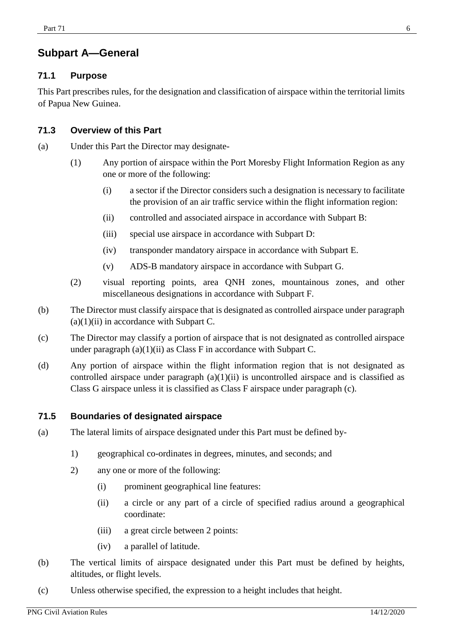## **Subpart A—General**

#### <span id="page-5-0"></span>**71.1 Purpose**

This Part prescribes rules, for the designation and classification of airspace within the territorial limits of Papua New Guinea.

#### <span id="page-5-1"></span>**71.3 Overview of this Part**

- (a) Under this Part the Director may designate-
	- (1) Any portion of airspace within the Port Moresby Flight Information Region as any one or more of the following:
		- (i) a sector if the Director considers such a designation is necessary to facilitate the provision of an air traffic service within the flight information region:
		- (ii) controlled and associated airspace in accordance with Subpart B:
		- (iii) special use airspace in accordance with Subpart D:
		- (iv) transponder mandatory airspace in accordance with Subpart E.
		- (v) ADS-B mandatory airspace in accordance with Subpart G.
	- (2) visual reporting points, area QNH zones, mountainous zones, and other miscellaneous designations in accordance with Subpart F.
- (b) The Director must classify airspace that is designated as controlled airspace under paragraph  $(a)(1)(ii)$  in accordance with Subpart C.
- (c) The Director may classify a portion of airspace that is not designated as controlled airspace under paragraph  $(a)(1)(ii)$  as Class F in accordance with Subpart C.
- (d) Any portion of airspace within the flight information region that is not designated as controlled airspace under paragraph  $(a)(1)(ii)$  is uncontrolled airspace and is classified as Class G airspace unless it is classified as Class F airspace under paragraph (c).

#### <span id="page-5-2"></span>**71.5 Boundaries of designated airspace**

- (a) The lateral limits of airspace designated under this Part must be defined by-
	- 1) geographical co-ordinates in degrees, minutes, and seconds; and
	- 2) any one or more of the following:
		- (i) prominent geographical line features:
		- (ii) a circle or any part of a circle of specified radius around a geographical coordinate:
		- (iii) a great circle between 2 points:
		- (iv) a parallel of latitude.
- (b) The vertical limits of airspace designated under this Part must be defined by heights, altitudes, or flight levels.
- (c) Unless otherwise specified, the expression to a height includes that height.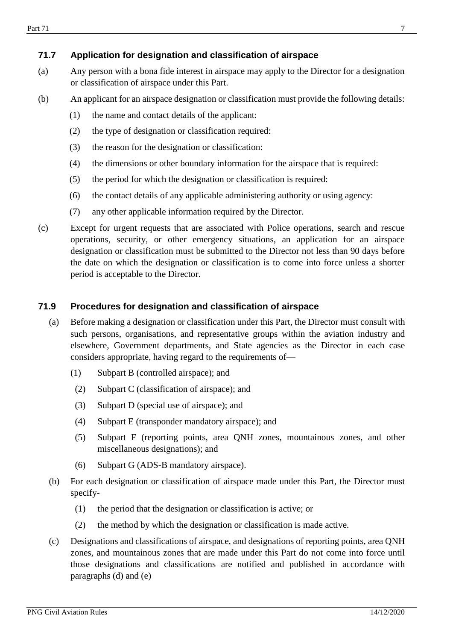#### <span id="page-6-0"></span>**71.7 Application for designation and classification of airspace**

- (a) Any person with a bona fide interest in airspace may apply to the Director for a designation or classification of airspace under this Part.
- (b) An applicant for an airspace designation or classification must provide the following details:
	- (1) the name and contact details of the applicant:
	- (2) the type of designation or classification required:
	- (3) the reason for the designation or classification:
	- (4) the dimensions or other boundary information for the airspace that is required:
	- (5) the period for which the designation or classification is required:
	- (6) the contact details of any applicable administering authority or using agency:
	- (7) any other applicable information required by the Director.
- (c) Except for urgent requests that are associated with Police operations, search and rescue operations, security, or other emergency situations, an application for an airspace designation or classification must be submitted to the Director not less than 90 days before the date on which the designation or classification is to come into force unless a shorter period is acceptable to the Director.

#### <span id="page-6-1"></span>**71.9 Procedures for designation and classification of airspace**

- (a) Before making a designation or classification under this Part, the Director must consult with such persons, organisations, and representative groups within the aviation industry and elsewhere, Government departments, and State agencies as the Director in each case considers appropriate, having regard to the requirements of—
	- (1) Subpart B (controlled airspace); and
	- (2) Subpart C (classification of airspace); and
	- (3) Subpart D (special use of airspace); and
	- (4) Subpart E (transponder mandatory airspace); and
	- (5) Subpart F (reporting points, area QNH zones, mountainous zones, and other miscellaneous designations); and
	- (6) Subpart G (ADS-B mandatory airspace).
- (b) For each designation or classification of airspace made under this Part, the Director must specify-
	- (1) the period that the designation or classification is active; or
	- (2) the method by which the designation or classification is made active.
- (c) Designations and classifications of airspace, and designations of reporting points, area QNH zones, and mountainous zones that are made under this Part do not come into force until those designations and classifications are notified and published in accordance with paragraphs (d) and (e)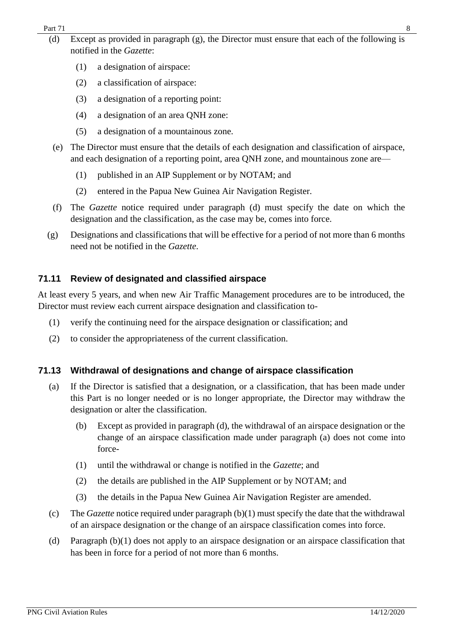- (d) Except as provided in paragraph (g), the Director must ensure that each of the following is notified in the *Gazette*:
	- (1) a designation of airspace:
	- (2) a classification of airspace:
	- (3) a designation of a reporting point:
	- (4) a designation of an area QNH zone:
	- (5) a designation of a mountainous zone.
- (e) The Director must ensure that the details of each designation and classification of airspace, and each designation of a reporting point, area QNH zone, and mountainous zone are—
	- (1) published in an AIP Supplement or by NOTAM; and
	- (2) entered in the Papua New Guinea Air Navigation Register.
- (f) The *Gazette* notice required under paragraph (d) must specify the date on which the designation and the classification, as the case may be, comes into force.
- (g) Designations and classifications that will be effective for a period of not more than 6 months need not be notified in the *Gazette*.

### <span id="page-7-0"></span>**71.11 Review of designated and classified airspace**

At least every 5 years, and when new Air Traffic Management procedures are to be introduced, the Director must review each current airspace designation and classification to-

- (1) verify the continuing need for the airspace designation or classification; and
- (2) to consider the appropriateness of the current classification.

### <span id="page-7-1"></span>**71.13 Withdrawal of designations and change of airspace classification**

- (a) If the Director is satisfied that a designation, or a classification, that has been made under this Part is no longer needed or is no longer appropriate, the Director may withdraw the designation or alter the classification.
	- (b) Except as provided in paragraph (d), the withdrawal of an airspace designation or the change of an airspace classification made under paragraph (a) does not come into force-
	- (1) until the withdrawal or change is notified in the *Gazette*; and
	- (2) the details are published in the AIP Supplement or by NOTAM; and
	- (3) the details in the Papua New Guinea Air Navigation Register are amended.
- (c) The *Gazette* notice required under paragraph (b)(1) must specify the date that the withdrawal of an airspace designation or the change of an airspace classification comes into force.
- (d) Paragraph (b)(1) does not apply to an airspace designation or an airspace classification that has been in force for a period of not more than 6 months.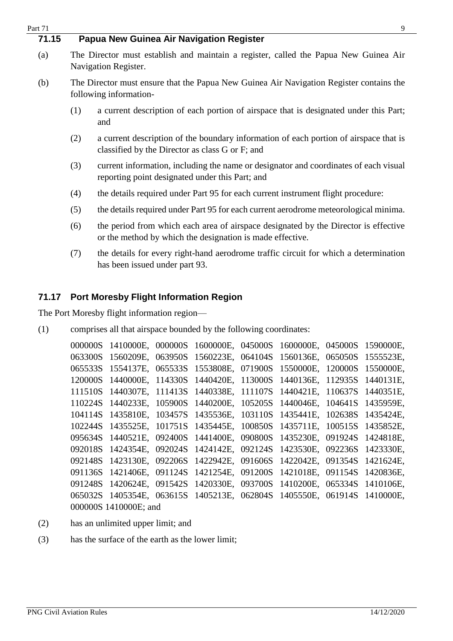<span id="page-8-0"></span>

| Part 71 |                                                                                                                                                | 9                                                                                                                                                |  |  |  |
|---------|------------------------------------------------------------------------------------------------------------------------------------------------|--------------------------------------------------------------------------------------------------------------------------------------------------|--|--|--|
| 71.15   | Papua New Guinea Air Navigation Register                                                                                                       |                                                                                                                                                  |  |  |  |
| (a)     | The Director must establish and maintain a register, called the Papua New Guinea Air<br>Navigation Register.                                   |                                                                                                                                                  |  |  |  |
| (b)     | The Director must ensure that the Papua New Guinea Air Navigation Register contains the<br>following information-                              |                                                                                                                                                  |  |  |  |
|         | a current description of each portion of airspace that is designated under this Part;<br>(1)<br>and                                            |                                                                                                                                                  |  |  |  |
|         | (2)                                                                                                                                            | a current description of the boundary information of each portion of airspace that is<br>classified by the Director as class G or F; and         |  |  |  |
|         | current information, including the name or designator and coordinates of each visual<br>(3)<br>reporting point designated under this Part; and |                                                                                                                                                  |  |  |  |
|         | (4)<br>the details required under Part 95 for each current instrument flight procedure:                                                        |                                                                                                                                                  |  |  |  |
|         | (5)<br>the details required under Part 95 for each current aerodrome meteorological minima.                                                    |                                                                                                                                                  |  |  |  |
|         | (6)                                                                                                                                            | the period from which each area of airspace designated by the Director is effective<br>or the method by which the designation is made effective. |  |  |  |
|         | (7)                                                                                                                                            | the details for every right-hand aerodrome traffic circuit for which a determination<br>has been issued under part 93.                           |  |  |  |
|         |                                                                                                                                                | $\blacksquare$                                                                                                                                   |  |  |  |

# <span id="page-8-1"></span>**71.17 Port Moresby Flight Information Region**

The Port Moresby flight information region—

(1) comprises all that airspace bounded by the following coordinates:

| 000000S 1410000E, 000000S 1600000E, 045000S 1600000E, 045000S 1590000E, |  |  |  |
|-------------------------------------------------------------------------|--|--|--|
| 063300S 1560209E, 063950S 1560223E, 064104S 1560136E, 065050S 1555523E, |  |  |  |
| 065533S 1554137E, 065533S 1553808E, 071900S 1550000E, 120000S 1550000E, |  |  |  |
| 120000S 1440000E, 114330S 1440420E, 113000S 1440136E, 112935S 1440131E, |  |  |  |
| 111510S 1440307E, 111413S 1440338E, 111107S 1440421E, 110637S 1440351E, |  |  |  |
| 110224S 1440233E, 105900S 1440200E, 105205S 1440046E, 104641S 1435959E, |  |  |  |
| 104114S 1435810E, 103457S 1435536E, 103110S 1435441E, 102638S 1435424E, |  |  |  |
| 102244S 1435525E, 101751S 1435445E, 100850S 1435711E, 100515S 1435852E, |  |  |  |
| 095634S 1440521E, 092400S 1441400E, 090800S 1435230E, 091924S 1424818E, |  |  |  |
| 092018S 1424354E, 092024S 1424142E, 092124S 1423530E, 092236S 1423330E, |  |  |  |
| 092148S 1423130E, 092206S 1422942E, 091606S 1422042E, 091354S 1421624E, |  |  |  |
| 091136S 1421406E, 091124S 1421254E, 091200S 1421018E, 091154S 1420836E, |  |  |  |
| 091248S 1420624E, 091542S 1420330E, 093700S 1410200E, 065334S 1410106E, |  |  |  |
| 065032S 1405354E, 063615S 1405213E, 062804S 1405550E, 061914S 1410000E, |  |  |  |
| 000000S 1410000E; and                                                   |  |  |  |

- (2) has an unlimited upper limit; and
- (3) has the surface of the earth as the lower limit;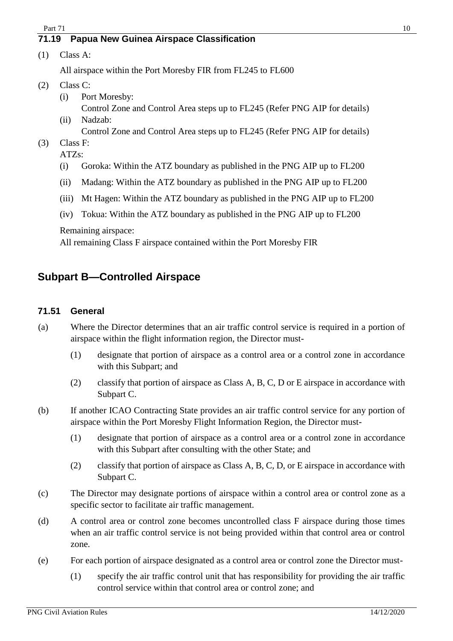#### <span id="page-9-0"></span>**71.19 Papua New Guinea Airspace Classification**

(1) Class A:

All airspace within the Port Moresby FIR from FL245 to FL600

- (2) Class C:
	- (i) Port Moresby: Control Zone and Control Area steps up to FL245 (Refer PNG AIP for details)
	- (ii) Nadzab: Control Zone and Control Area steps up to FL245 (Refer PNG AIP for details)
- (3) Class F:
	- ATZs:
	- (i) Goroka: Within the ATZ boundary as published in the PNG AIP up to FL200
	- (ii) Madang: Within the ATZ boundary as published in the PNG AIP up to FL200
	- (iii) Mt Hagen: Within the ATZ boundary as published in the PNG AIP up to FL200
	- (iv) Tokua: Within the ATZ boundary as published in the PNG AIP up to FL200

Remaining airspace:

All remaining Class F airspace contained within the Port Moresby FIR

## <span id="page-9-1"></span>**Subpart B—Controlled Airspace**

#### <span id="page-9-2"></span>**71.51 General**

- (a) Where the Director determines that an air traffic control service is required in a portion of airspace within the flight information region, the Director must-
	- (1) designate that portion of airspace as a control area or a control zone in accordance with this Subpart; and
	- (2) classify that portion of airspace as Class A, B, C, D or E airspace in accordance with Subpart C.
- (b) If another ICAO Contracting State provides an air traffic control service for any portion of airspace within the Port Moresby Flight Information Region, the Director must-
	- (1) designate that portion of airspace as a control area or a control zone in accordance with this Subpart after consulting with the other State; and
	- (2) classify that portion of airspace as Class A, B, C, D, or E airspace in accordance with Subpart C.
- (c) The Director may designate portions of airspace within a control area or control zone as a specific sector to facilitate air traffic management.
- (d) A control area or control zone becomes uncontrolled class F airspace during those times when an air traffic control service is not being provided within that control area or control zone.
- (e) For each portion of airspace designated as a control area or control zone the Director must-
	- (1) specify the air traffic control unit that has responsibility for providing the air traffic control service within that control area or control zone; and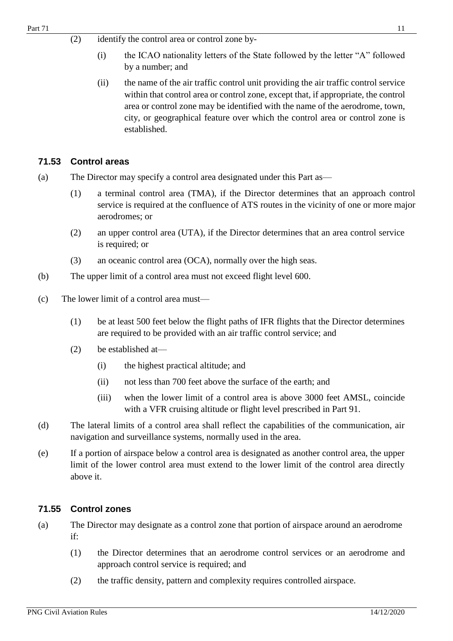- (2) identify the control area or control zone by-
	- (i) the ICAO nationality letters of the State followed by the letter "A" followed by a number; and
	- (ii) the name of the air traffic control unit providing the air traffic control service within that control area or control zone, except that, if appropriate, the control area or control zone may be identified with the name of the aerodrome, town, city, or geographical feature over which the control area or control zone is established.

#### <span id="page-10-0"></span>**71.53 Control areas**

- (a) The Director may specify a control area designated under this Part as—
	- (1) a terminal control area (TMA), if the Director determines that an approach control service is required at the confluence of ATS routes in the vicinity of one or more major aerodromes; or
	- (2) an upper control area (UTA), if the Director determines that an area control service is required; or
	- (3) an oceanic control area (OCA), normally over the high seas.
- (b) The upper limit of a control area must not exceed flight level 600.
- (c) The lower limit of a control area must—
	- (1) be at least 500 feet below the flight paths of IFR flights that the Director determines are required to be provided with an air traffic control service; and
	- (2) be established at—
		- (i) the highest practical altitude; and
		- (ii) not less than 700 feet above the surface of the earth; and
		- (iii) when the lower limit of a control area is above 3000 feet AMSL, coincide with a VFR cruising altitude or flight level prescribed in Part 91.
- (d) The lateral limits of a control area shall reflect the capabilities of the communication, air navigation and surveillance systems, normally used in the area.
- (e) If a portion of airspace below a control area is designated as another control area, the upper limit of the lower control area must extend to the lower limit of the control area directly above it.

#### <span id="page-10-1"></span>**71.55 Control zones**

- (a) The Director may designate as a control zone that portion of airspace around an aerodrome if:
	- (1) the Director determines that an aerodrome control services or an aerodrome and approach control service is required; and
	- (2) the traffic density, pattern and complexity requires controlled airspace.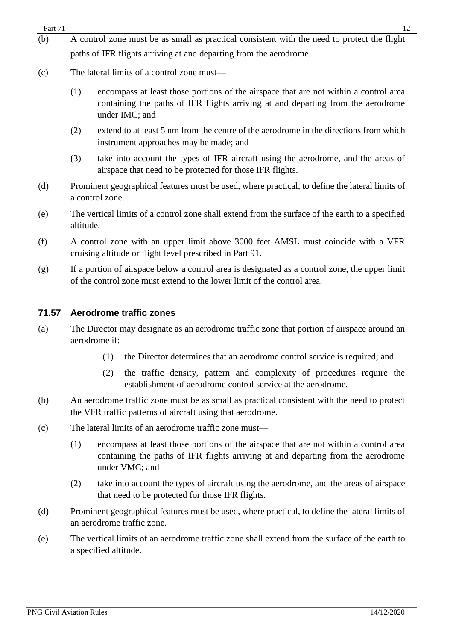- (b) A control zone must be as small as practical consistent with the need to protect the flight paths of IFR flights arriving at and departing from the aerodrome.
- (c) The lateral limits of a control zone must—
	- (1) encompass at least those portions of the airspace that are not within a control area containing the paths of IFR flights arriving at and departing from the aerodrome under IMC; and
	- (2) extend to at least 5 nm from the centre of the aerodrome in the directions from which instrument approaches may be made; and
	- (3) take into account the types of IFR aircraft using the aerodrome, and the areas of airspace that need to be protected for those IFR flights.
- (d) Prominent geographical features must be used, where practical, to define the lateral limits of a control zone.
- (e) The vertical limits of a control zone shall extend from the surface of the earth to a specified altitude.
- (f) A control zone with an upper limit above 3000 feet AMSL must coincide with a VFR cruising altitude or flight level prescribed in Part 91.
- (g) If a portion of airspace below a control area is designated as a control zone, the upper limit of the control zone must extend to the lower limit of the control area.

#### <span id="page-11-0"></span>**71.57 Aerodrome traffic zones**

- (a) The Director may designate as an aerodrome traffic zone that portion of airspace around an aerodrome if:
	- (1) the Director determines that an aerodrome control service is required; and
	- (2) the traffic density, pattern and complexity of procedures require the establishment of aerodrome control service at the aerodrome.
- (b) An aerodrome traffic zone must be as small as practical consistent with the need to protect the VFR traffic patterns of aircraft using that aerodrome.
- (c) The lateral limits of an aerodrome traffic zone must—
	- (1) encompass at least those portions of the airspace that are not within a control area containing the paths of IFR flights arriving at and departing from the aerodrome under VMC; and
	- (2) take into account the types of aircraft using the aerodrome, and the areas of airspace that need to be protected for those IFR flights.
- (d) Prominent geographical features must be used, where practical, to define the lateral limits of an aerodrome traffic zone.
- (e) The vertical limits of an aerodrome traffic zone shall extend from the surface of the earth to a specified altitude.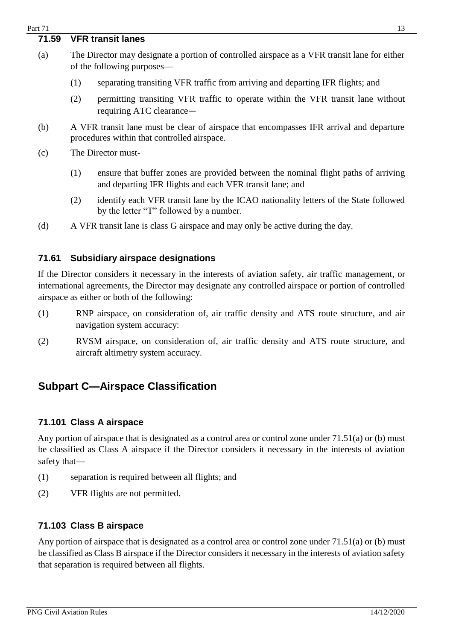#### <span id="page-12-0"></span>**71.59 VFR transit lanes**

- (a) The Director may designate a portion of controlled airspace as a VFR transit lane for either of the following purposes—
	- (1) separating transiting VFR traffic from arriving and departing IFR flights; and
	- (2) permitting transiting VFR traffic to operate within the VFR transit lane without requiring ATC clearance—
- (b) A VFR transit lane must be clear of airspace that encompasses IFR arrival and departure procedures within that controlled airspace.
- (c) The Director must-
	- (1) ensure that buffer zones are provided between the nominal flight paths of arriving and departing IFR flights and each VFR transit lane; and
	- (2) identify each VFR transit lane by the ICAO nationality letters of the State followed by the letter "T" followed by a number.
- (d) A VFR transit lane is class G airspace and may only be active during the day.

#### <span id="page-12-1"></span>**71.61 Subsidiary airspace designations**

If the Director considers it necessary in the interests of aviation safety, air traffic management, or international agreements, the Director may designate any controlled airspace or portion of controlled airspace as either or both of the following:

- (1) RNP airspace, on consideration of, air traffic density and ATS route structure, and air navigation system accuracy:
- (2) RVSM airspace, on consideration of, air traffic density and ATS route structure, and aircraft altimetry system accuracy.

## <span id="page-12-2"></span>**Subpart C—Airspace Classification**

#### <span id="page-12-3"></span>**71.101 Class A airspace**

Any portion of airspace that is designated as a control area or control zone under 71.51(a) or (b) must be classified as Class A airspace if the Director considers it necessary in the interests of aviation safety that—

- (1) separation is required between all flights; and
- (2) VFR flights are not permitted.

#### <span id="page-12-4"></span>**71.103 Class B airspace**

Any portion of airspace that is designated as a control area or control zone under 71.51(a) or (b) must be classified as Class B airspace if the Director considers it necessary in the interests of aviation safety that separation is required between all flights.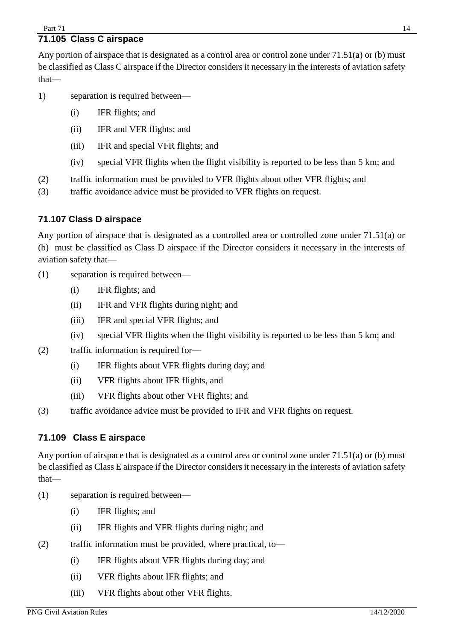## <span id="page-13-0"></span>**71.105 Class C airspace**

Any portion of airspace that is designated as a control area or control zone under 71.51(a) or (b) must be classified as Class C airspace if the Director considers it necessary in the interests of aviation safety that—

- 1) separation is required between—
	- (i) IFR flights; and
	- (ii) IFR and VFR flights; and
	- (iii) IFR and special VFR flights; and
	- (iv) special VFR flights when the flight visibility is reported to be less than 5 km; and
- (2) traffic information must be provided to VFR flights about other VFR flights; and
- (3) traffic avoidance advice must be provided to VFR flights on request.

#### **71.107 Class D airspace**

Any portion of airspace that is designated as a controlled area or controlled zone under 71.51(a) or (b) must be classified as Class D airspace if the Director considers it necessary in the interests of aviation safety that—

- (1) separation is required between—
	- (i) IFR flights; and
	- (ii) IFR and VFR flights during night; and
	- (iii) IFR and special VFR flights; and
	- (iv) special VFR flights when the flight visibility is reported to be less than 5 km; and
- (2) traffic information is required for—
	- (i) IFR flights about VFR flights during day; and
	- (ii) VFR flights about IFR flights, and
	- (iii) VFR flights about other VFR flights; and
- (3) traffic avoidance advice must be provided to IFR and VFR flights on request.

#### <span id="page-13-1"></span>**71.109 Class E airspace**

Any portion of airspace that is designated as a control area or control zone under 71.51(a) or (b) must be classified as Class E airspace if the Director considers it necessary in the interests of aviation safety that—

- (1) separation is required between—
	- (i) IFR flights; and
	- (ii) IFR flights and VFR flights during night; and
- (2) traffic information must be provided, where practical, to—
	- (i) IFR flights about VFR flights during day; and
	- (ii) VFR flights about IFR flights; and
	- (iii) VFR flights about other VFR flights.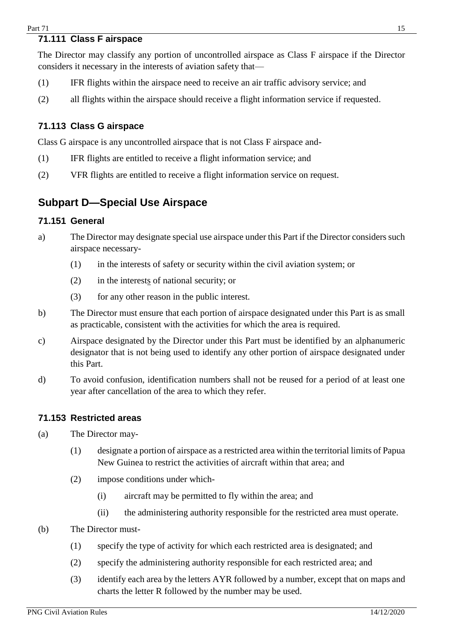## <span id="page-14-0"></span>**71.111 Class F airspace**

The Director may classify any portion of uncontrolled airspace as Class F airspace if the Director considers it necessary in the interests of aviation safety that—

- (1) IFR flights within the airspace need to receive an air traffic advisory service; and
- (2) all flights within the airspace should receive a flight information service if requested.

#### <span id="page-14-1"></span>**71.113 Class G airspace**

Class G airspace is any uncontrolled airspace that is not Class F airspace and-

- (1) IFR flights are entitled to receive a flight information service; and
- (2) VFR flights are entitled to receive a flight information service on request.

## <span id="page-14-2"></span>**Subpart D—Special Use Airspace**

#### <span id="page-14-3"></span>**71.151 General**

- a) The Director may designate special use airspace under this Part if the Director considers such airspace necessary-
	- (1) in the interests of safety or security within the civil aviation system; or
	- (2) in the interests of national security; or
	- (3) for any other reason in the public interest.
- b) The Director must ensure that each portion of airspace designated under this Part is as small as practicable, consistent with the activities for which the area is required.
- c) Airspace designated by the Director under this Part must be identified by an alphanumeric designator that is not being used to identify any other portion of airspace designated under this Part.
- d) To avoid confusion, identification numbers shall not be reused for a period of at least one year after cancellation of the area to which they refer.

#### <span id="page-14-4"></span>**71.153 Restricted areas**

- (a) The Director may-
	- (1) designate a portion of airspace as a restricted area within the territorial limits of Papua New Guinea to restrict the activities of aircraft within that area; and
	- (2) impose conditions under which-
		- (i) aircraft may be permitted to fly within the area; and
		- (ii) the administering authority responsible for the restricted area must operate.
- (b) The Director must-
	- (1) specify the type of activity for which each restricted area is designated; and
	- (2) specify the administering authority responsible for each restricted area; and
	- (3) identify each area by the letters AYR followed by a number, except that on maps and charts the letter R followed by the number may be used.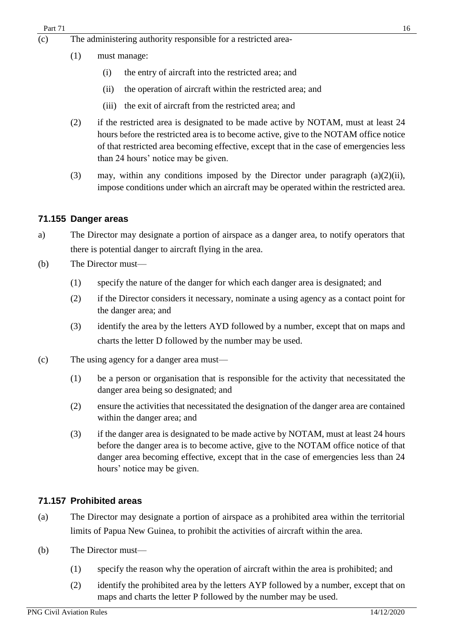- (c) The administering authority responsible for a restricted area-
	- (1) must manage:
		- (i) the entry of aircraft into the restricted area; and
		- (ii) the operation of aircraft within the restricted area; and
		- (iii) the exit of aircraft from the restricted area; and
	- (2) if the restricted area is designated to be made active by NOTAM, must at least 24 hours before the restricted area is to become active, give to the NOTAM office notice of that restricted area becoming effective, except that in the case of emergencies less than 24 hours' notice may be given.
	- (3) may, within any conditions imposed by the Director under paragraph (a)(2)(ii), impose conditions under which an aircraft may be operated within the restricted area.

#### <span id="page-15-0"></span>**71.155 Danger areas**

- a) The Director may designate a portion of airspace as a danger area, to notify operators that there is potential danger to aircraft flying in the area.
- (b) The Director must—
	- (1) specify the nature of the danger for which each danger area is designated; and
	- (2) if the Director considers it necessary, nominate a using agency as a contact point for the danger area; and
	- (3) identify the area by the letters AYD followed by a number, except that on maps and charts the letter D followed by the number may be used.
- (c) The using agency for a danger area must—
	- (1) be a person or organisation that is responsible for the activity that necessitated the danger area being so designated; and
	- (2) ensure the activities that necessitated the designation of the danger area are contained within the danger area; and
	- (3) if the danger area is designated to be made active by NOTAM, must at least 24 hours before the danger area is to become active, give to the NOTAM office notice of that danger area becoming effective, except that in the case of emergencies less than 24 hours' notice may be given.

#### <span id="page-15-1"></span>**71.157 Prohibited areas**

- (a) The Director may designate a portion of airspace as a prohibited area within the territorial limits of Papua New Guinea, to prohibit the activities of aircraft within the area.
- (b) The Director must—
	- (1) specify the reason why the operation of aircraft within the area is prohibited; and
	- (2) identify the prohibited area by the letters AYP followed by a number, except that on maps and charts the letter P followed by the number may be used.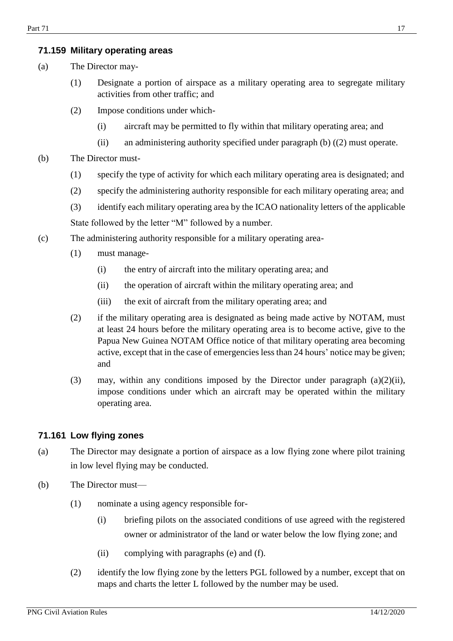#### <span id="page-16-0"></span>**71.159 Military operating areas**

- (a) The Director may-
	- (1) Designate a portion of airspace as a military operating area to segregate military activities from other traffic; and
	- (2) Impose conditions under which-
		- (i) aircraft may be permitted to fly within that military operating area; and
		- (ii) an administering authority specified under paragraph (b) ((2) must operate.
- (b) The Director must-
	- (1) specify the type of activity for which each military operating area is designated; and
	- (2) specify the administering authority responsible for each military operating area; and
	- (3) identify each military operating area by the ICAO nationality letters of the applicable State followed by the letter "M" followed by a number.
- (c) The administering authority responsible for a military operating area-
	- (1) must manage-
		- (i) the entry of aircraft into the military operating area; and
		- (ii) the operation of aircraft within the military operating area; and
		- (iii) the exit of aircraft from the military operating area; and
	- (2) if the military operating area is designated as being made active by NOTAM, must at least 24 hours before the military operating area is to become active, give to the Papua New Guinea NOTAM Office notice of that military operating area becoming active, except that in the case of emergencies less than 24 hours' notice may be given; and
	- (3) may, within any conditions imposed by the Director under paragraph (a)(2)(ii), impose conditions under which an aircraft may be operated within the military operating area.

#### <span id="page-16-1"></span>**71.161 Low flying zones**

- (a) The Director may designate a portion of airspace as a low flying zone where pilot training in low level flying may be conducted.
- (b) The Director must—
	- (1) nominate a using agency responsible for-
		- (i) briefing pilots on the associated conditions of use agreed with the registered owner or administrator of the land or water below the low flying zone; and
		- (ii) complying with paragraphs (e) and (f).
	- (2) identify the low flying zone by the letters PGL followed by a number, except that on maps and charts the letter L followed by the number may be used.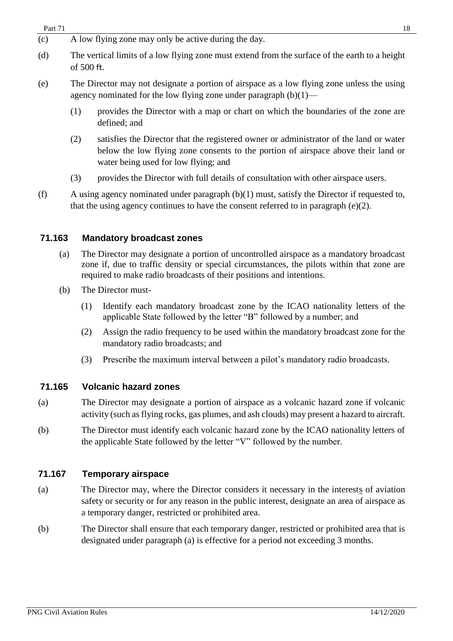| Part 71 | 18 |
|---------|----|
|---------|----|

- $\overline{c}$  A low flying zone may only be active during the day.
- (d) The vertical limits of a low flying zone must extend from the surface of the earth to a height of 500 ft.
- (e) The Director may not designate a portion of airspace as a low flying zone unless the using agency nominated for the low flying zone under paragraph  $(b)(1)$ —
	- (1) provides the Director with a map or chart on which the boundaries of the zone are defined; and
	- (2) satisfies the Director that the registered owner or administrator of the land or water below the low flying zone consents to the portion of airspace above their land or water being used for low flying; and
	- (3) provides the Director with full details of consultation with other airspace users.
- (f) A using agency nominated under paragraph (b)(1) must, satisfy the Director if requested to, that the using agency continues to have the consent referred to in paragraph  $(e)(2)$ .

#### <span id="page-17-0"></span>**71.163 Mandatory broadcast zones**

- (a) The Director may designate a portion of uncontrolled airspace as a mandatory broadcast zone if, due to traffic density or special circumstances, the pilots within that zone are required to make radio broadcasts of their positions and intentions.
- (b) The Director must-
	- (1) Identify each mandatory broadcast zone by the ICAO nationality letters of the applicable State followed by the letter "B" followed by a number; and
	- (2) Assign the radio frequency to be used within the mandatory broadcast zone for the mandatory radio broadcasts; and
	- (3) Prescribe the maximum interval between a pilot's mandatory radio broadcasts.

#### <span id="page-17-1"></span>**71.165 Volcanic hazard zones**

- (a) The Director may designate a portion of airspace as a volcanic hazard zone if volcanic activity (such as flying rocks, gas plumes, and ash clouds) may present a hazard to aircraft.
- (b) The Director must identify each volcanic hazard zone by the ICAO nationality letters of the applicable State followed by the letter "V" followed by the number.

#### <span id="page-17-2"></span>**71.167 Temporary airspace**

- (a) The Director may, where the Director considers it necessary in the interests of aviation safety or security or for any reason in the public interest, designate an area of airspace as a temporary danger, restricted or prohibited area.
- (b) The Director shall ensure that each temporary danger, restricted or prohibited area that is designated under paragraph (a) is effective for a period not exceeding 3 months.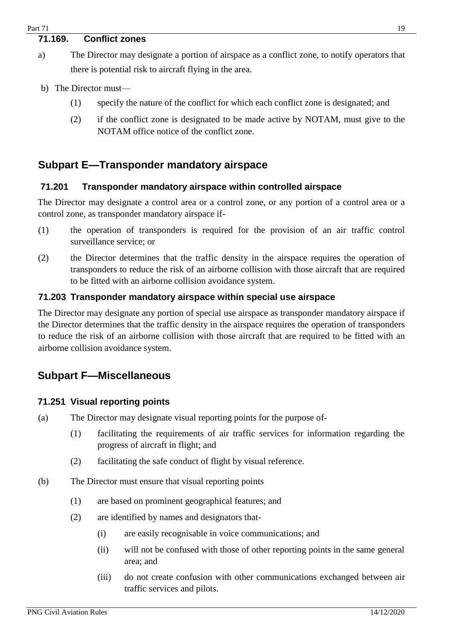## <span id="page-18-0"></span>**71.169. Conflict zones**

- a) The Director may designate a portion of airspace as a conflict zone, to notify operators that there is potential risk to aircraft flying in the area.
- b) The Director must—
	- (1) specify the nature of the conflict for which each conflict zone is designated; and
	- (2) if the conflict zone is designated to be made active by NOTAM, must give to the NOTAM office notice of the conflict zone.

## <span id="page-18-1"></span>**Subpart E—Transponder mandatory airspace**

#### <span id="page-18-2"></span>**71.201 Transponder mandatory airspace within controlled airspace**

The Director may designate a control area or a control zone, or any portion of a control area or a control zone, as transponder mandatory airspace if-

- (1) the operation of transponders is required for the provision of an air traffic control surveillance service; or
- (2) the Director determines that the traffic density in the airspace requires the operation of transponders to reduce the risk of an airborne collision with those aircraft that are required to be fitted with an airborne collision avoidance system.

#### <span id="page-18-3"></span>**71.203 Transponder mandatory airspace within special use airspace**

The Director may designate any portion of special use airspace as transponder mandatory airspace if the Director determines that the traffic density in the airspace requires the operation of transponders to reduce the risk of an airborne collision with those aircraft that are required to be fitted with an airborne collision avoidance system.

### <span id="page-18-4"></span>**Subpart F—Miscellaneous**

#### <span id="page-18-5"></span>**71.251 Visual reporting points**

- (a) The Director may designate visual reporting points for the purpose of-
	- (1) facilitating the requirements of air traffic services for information regarding the progress of aircraft in flight; and
	- (2) facilitating the safe conduct of flight by visual reference.
- (b) The Director must ensure that visual reporting points
	- (1) are based on prominent geographical features; and
	- (2) are identified by names and designators that-
		- (i) are easily recognisable in voice communications; and
		- (ii) will not be confused with those of other reporting points in the same general area; and
		- (iii) do not create confusion with other communications exchanged between air traffic services and pilots.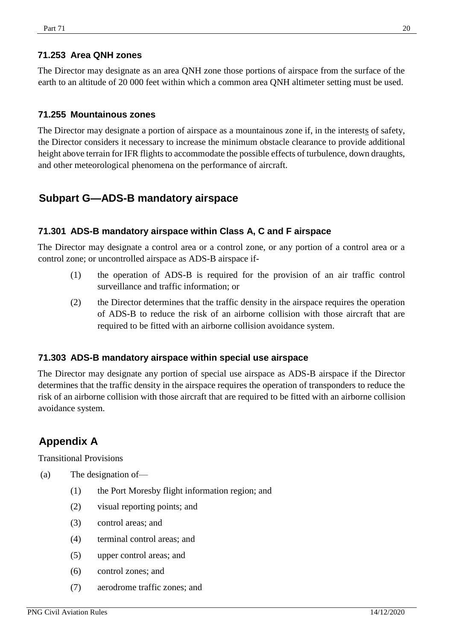#### <span id="page-19-0"></span>**71.253 Area QNH zones**

The Director may designate as an area QNH zone those portions of airspace from the surface of the earth to an altitude of 20 000 feet within which a common area QNH altimeter setting must be used.

#### <span id="page-19-1"></span>**71.255 Mountainous zones**

The Director may designate a portion of airspace as a mountainous zone if, in the interests of safety, the Director considers it necessary to increase the minimum obstacle clearance to provide additional height above terrain for IFR flights to accommodate the possible effects of turbulence, down draughts, and other meteorological phenomena on the performance of aircraft.

## <span id="page-19-2"></span>**Subpart G—ADS-B mandatory airspace**

#### <span id="page-19-3"></span>**71.301 ADS-B mandatory airspace within Class A, C and F airspace**

The Director may designate a control area or a control zone, or any portion of a control area or a control zone; or uncontrolled airspace as ADS-B airspace if-

- (1) the operation of ADS-B is required for the provision of an air traffic control surveillance and traffic information; or
- (2) the Director determines that the traffic density in the airspace requires the operation of ADS-B to reduce the risk of an airborne collision with those aircraft that are required to be fitted with an airborne collision avoidance system.

#### <span id="page-19-4"></span>**71.303 ADS-B mandatory airspace within special use airspace**

The Director may designate any portion of special use airspace as ADS-B airspace if the Director determines that the traffic density in the airspace requires the operation of transponders to reduce the risk of an airborne collision with those aircraft that are required to be fitted with an airborne collision avoidance system.

## <span id="page-19-5"></span>**Appendix A**

Transitional Provisions

- (a) The designation of—
	- (1) the Port Moresby flight information region; and
	- (2) visual reporting points; and
	- (3) control areas; and
	- (4) terminal control areas; and
	- (5) upper control areas; and
	- (6) control zones; and
	- (7) aerodrome traffic zones; and